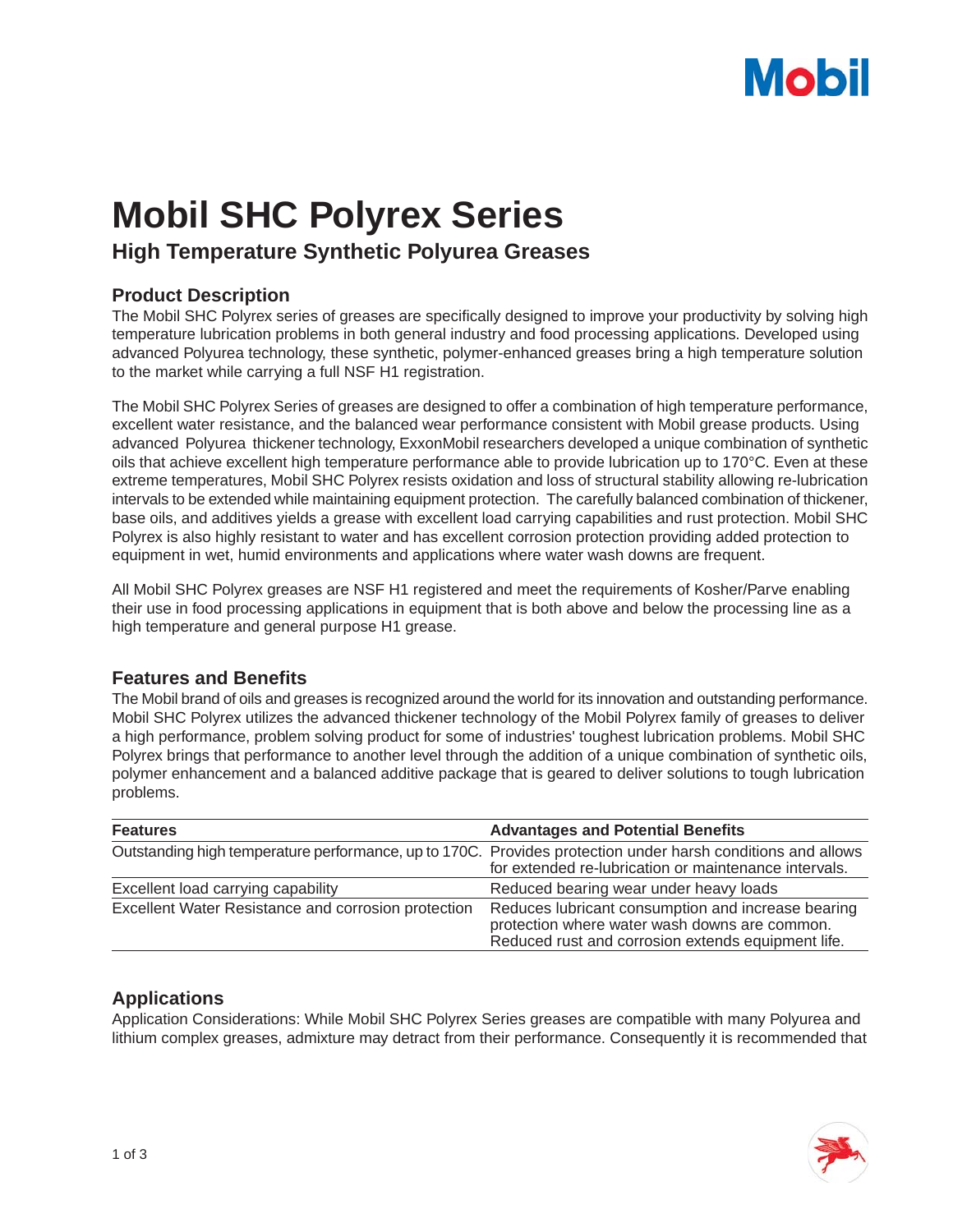# **Mobil**

## **Mobil SHC Polyrex Series**

### **High Temperature Synthetic Polyurea Greases**

#### **Product Description**

The Mobil SHC Polyrex series of greases are specifically designed to improve your productivity by solving high temperature lubrication problems in both general industry and food processing applications. Developed using advanced Polyurea technology, these synthetic, polymer-enhanced greases bring a high temperature solution to the market while carrying a full NSF H1 registration.

The Mobil SHC Polyrex Series of greases are designed to offer a combination of high temperature performance, excellent water resistance, and the balanced wear performance consistent with Mobil grease products. Using advanced Polyurea thickener technology, ExxonMobil researchers developed a unique combination of synthetic oils that achieve excellent high temperature performance able to provide lubrication up to 170°C. Even at these extreme temperatures, Mobil SHC Polyrex resists oxidation and loss of structural stability allowing re-lubrication intervals to be extended while maintaining equipment protection. The carefully balanced combination of thickener, base oils, and additives yields a grease with excellent load carrying capabilities and rust protection. Mobil SHC Polyrex is also highly resistant to water and has excellent corrosion protection providing added protection to equipment in wet, humid environments and applications where water wash downs are frequent.

All Mobil SHC Polyrex greases are NSF H1 registered and meet the requirements of Kosher/Parve enabling their use in food processing applications in equipment that is both above and below the processing line as a high temperature and general purpose H1 grease.

#### **Features and Benefits**

The Mobil brand of oils and greases is recognized around the world for its innovation and outstanding performance. Mobil SHC Polyrex utilizes the advanced thickener technology of the Mobil Polyrex family of greases to deliver a high performance, problem solving product for some of industries' toughest lubrication problems. Mobil SHC Polyrex brings that performance to another level through the addition of a unique combination of synthetic oils, polymer enhancement and a balanced additive package that is geared to deliver solutions to tough lubrication problems.

| <b>Features</b>                                     | <b>Advantages and Potential Benefits</b>                                                                                                                             |
|-----------------------------------------------------|----------------------------------------------------------------------------------------------------------------------------------------------------------------------|
|                                                     | Outstanding high temperature performance, up to 170C. Provides protection under harsh conditions and allows<br>for extended re-lubrication or maintenance intervals. |
| Excellent load carrying capability                  | Reduced bearing wear under heavy loads                                                                                                                               |
| Excellent Water Resistance and corrosion protection | Reduces lubricant consumption and increase bearing<br>protection where water wash downs are common.<br>Reduced rust and corrosion extends equipment life.            |

#### **Applications**

Application Considerations: While Mobil SHC Polyrex Series greases are compatible with many Polyurea and lithium complex greases, admixture may detract from their performance. Consequently it is recommended that

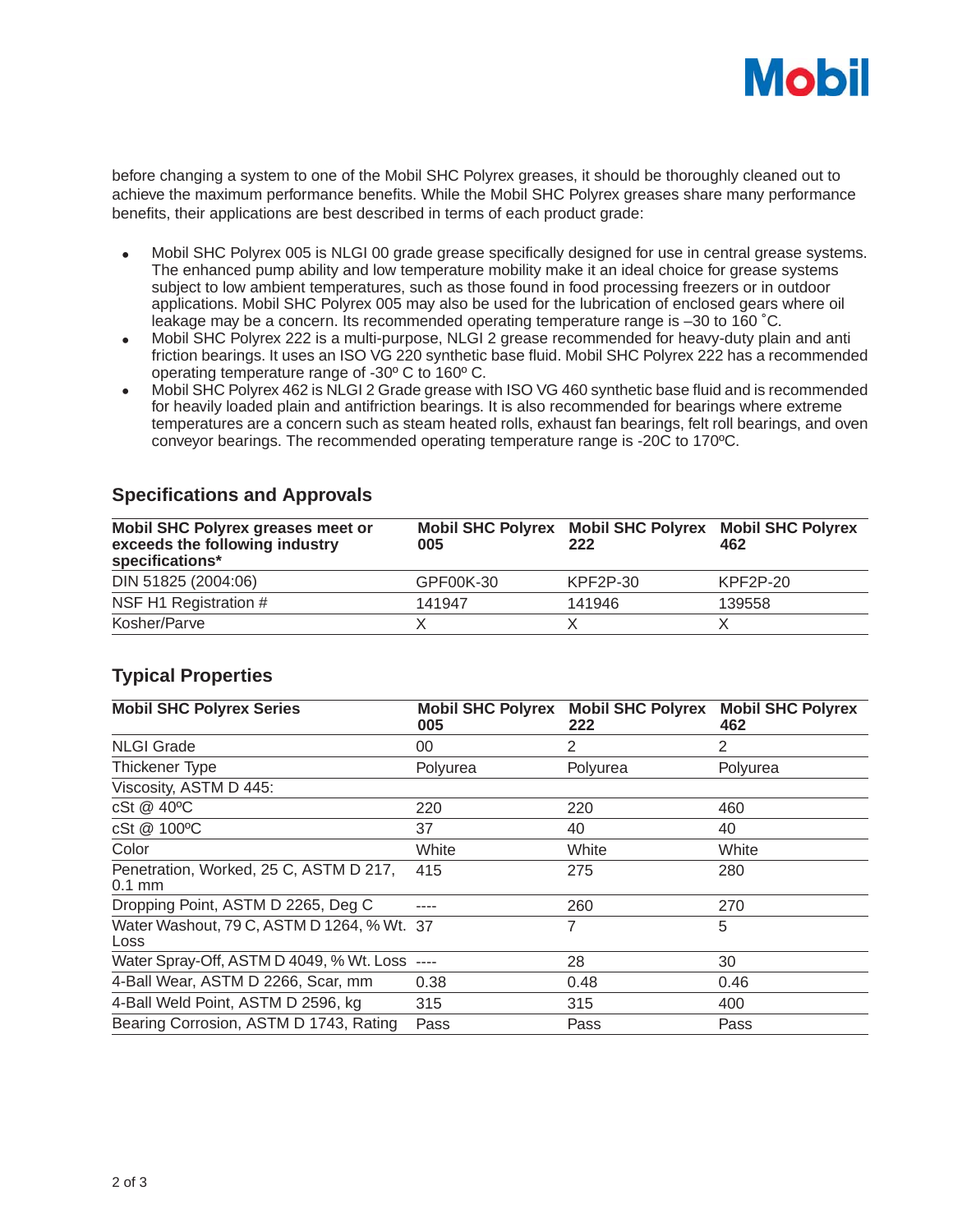

before changing a system to one of the Mobil SHC Polyrex greases, it should be thoroughly cleaned out to achieve the maximum performance benefits. While the Mobil SHC Polyrex greases share many performance benefits, their applications are best described in terms of each product grade:

- Mobil SHC Polyrex 005 is NLGI 00 grade grease specifically designed for use in central grease systems. The enhanced pump ability and low temperature mobility make it an ideal choice for grease systems subject to low ambient temperatures, such as those found in food processing freezers or in outdoor applications. Mobil SHC Polyrex 005 may also be used for the lubrication of enclosed gears where oil leakage may be a concern. Its recommended operating temperature range is –30 to 160 ˚C.
- Mobil SHC Polyrex 222 is a multi-purpose, NLGI 2 grease recommended for heavy-duty plain and anti friction bearings. It uses an ISO VG 220 synthetic base fluid. Mobil SHC Polyrex 222 has a recommended operating temperature range of -30º C to 160º C.
- Mobil SHC Polyrex 462 is NLGI 2 Grade grease with ISO VG 460 synthetic base fluid and is recommended for heavily loaded plain and antifriction bearings. It is also recommended for bearings where extreme temperatures are a concern such as steam heated rolls, exhaust fan bearings, felt roll bearings, and oven conveyor bearings. The recommended operating temperature range is -20C to 170ºC.

| Mobil SHC Polyrex greases meet or<br>exceeds the following industry<br>specifications* | 005       | Mobil SHC Polyrex Mobil SHC Polyrex Mobil SHC Polyrex<br>222 | 462      |
|----------------------------------------------------------------------------------------|-----------|--------------------------------------------------------------|----------|
| DIN 51825 (2004:06)                                                                    | GPF00K-30 | KPF2P-30                                                     | KPF2P-20 |
| NSF H1 Registration #                                                                  | 141947    | 141946                                                       | 139558   |
| Kosher/Parve                                                                           |           |                                                              |          |

#### **Specifications and Approvals**

#### **Typical Properties**

| <b>Mobil SHC Polyrex Series</b>                    | <b>Mobil SHC Polyrex</b><br>005 | <b>Mobil SHC Polyrex</b><br>222 | <b>Mobil SHC Polyrex</b><br>462 |
|----------------------------------------------------|---------------------------------|---------------------------------|---------------------------------|
| <b>NLGI Grade</b>                                  | 00                              | 2                               | 2                               |
| Thickener Type                                     | Polyurea                        | Polyurea                        | Polyurea                        |
| Viscosity, ASTM D 445:                             |                                 |                                 |                                 |
| cSt @ 40°C                                         | 220                             | 220                             | 460                             |
| cSt @ 100°C                                        | 37                              | 40                              | 40                              |
| Color                                              | White                           | White                           | White                           |
| Penetration, Worked, 25 C, ASTM D 217,<br>$0.1$ mm | 415                             | 275                             | 280                             |
| Dropping Point, ASTM D 2265, Deg C                 |                                 | 260                             | 270                             |
| Water Washout, 79 C, ASTM D 1264, % Wt. 37<br>Loss |                                 | 7                               | 5                               |
| Water Spray-Off, ASTM D 4049, % Wt. Loss           |                                 | 28                              | 30                              |
| 4-Ball Wear, ASTM D 2266, Scar, mm                 | 0.38                            | 0.48                            | 0.46                            |
| 4-Ball Weld Point, ASTM D 2596, kg                 | 315                             | 315                             | 400                             |
| Bearing Corrosion, ASTM D 1743, Rating             | Pass                            | Pass                            | Pass                            |